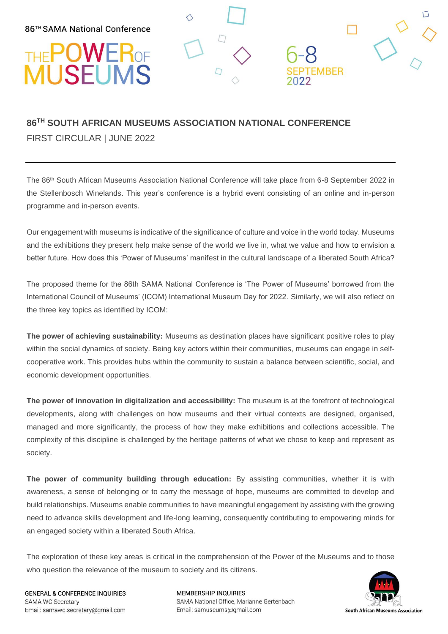## П THE POWER OF  $\Box$ **EMBER**

### **86TH SOUTH AFRICAN MUSEUMS ASSOCIATION NATIONAL CONFERENCE** FIRST CIRCULAR | JUNE 2022

The 86th South African Museums Association National Conference will take place from 6-8 September 2022 in the Stellenbosch Winelands. This year's conference is a hybrid event consisting of an online and in-person programme and in-person events.

Our engagement with museums is indicative of the significance of culture and voice in the world today. Museums and the exhibitions they present help make sense of the world we live in, what we value and how to envision a better future. How does this 'Power of Museums' manifest in the cultural landscape of a liberated South Africa?

The proposed theme for the 86th SAMA National Conference is 'The Power of Museums' borrowed from the International Council of Museums' (ICOM) International Museum Day for 2022. Similarly, we will also reflect on the three key topics as identified by ICOM:

**The power of achieving sustainability:** Museums as destination places have significant positive roles to play within the social dynamics of society. Being key actors within their communities, museums can engage in selfcooperative work. This provides hubs within the community to sustain a balance between scientific, social, and economic development opportunities.

**The power of innovation in digitalization and accessibility:** The museum is at the forefront of technological developments, along with challenges on how museums and their virtual contexts are designed, organised, managed and more significantly, the process of how they make exhibitions and collections accessible. The complexity of this discipline is challenged by the heritage patterns of what we chose to keep and represent as society.

**The power of community building through education:** By assisting communities, whether it is with awareness, a sense of belonging or to carry the message of hope, museums are committed to develop and build relationships. Museums enable communities to have meaningful engagement by assisting with the growing need to advance skills development and life-long learning, consequently contributing to empowering minds for an engaged society within a liberated South Africa.

The exploration of these key areas is critical in the comprehension of the Power of the Museums and to those who question the relevance of the museum to society and its citizens.



**GENERAL & CONFERENCE INQUIRIES SAMA WC Secretary** Email: samawc.secretary@gmail.com

**MEMBERSHIP INQUIRIES** SAMA National Office, Marianne Gertenbach Email: samuseums@gmail.com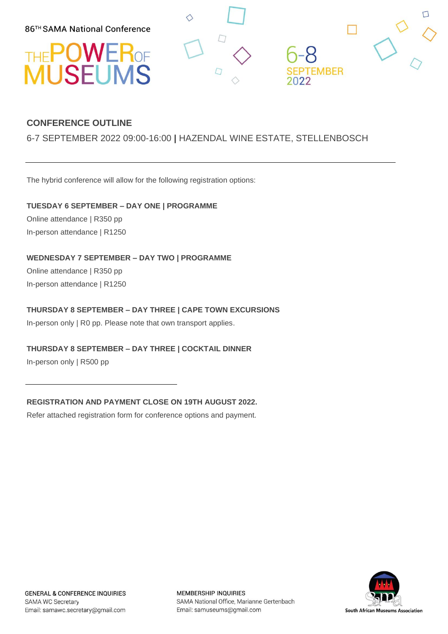86™ SAMA National Conference





#### **CONFERENCE OUTLINE**

#### 6-7 SEPTEMBER 2022 09:00-16:00 **|** HAZENDAL WINE ESTATE, STELLENBOSCH

The hybrid conference will allow for the following registration options:

**TUESDAY 6 SEPTEMBER – DAY ONE | PROGRAMME** 

Online attendance | R350 pp In-person attendance | R1250

**WEDNESDAY 7 SEPTEMBER – DAY TWO | PROGRAMME** 

Online attendance | R350 pp In-person attendance | R1250

#### **THURSDAY 8 SEPTEMBER – DAY THREE | CAPE TOWN EXCURSIONS**

In-person only | R0 pp. Please note that own transport applies.

#### **THURSDAY 8 SEPTEMBER – DAY THREE | COCKTAIL DINNER**

In-person only | R500 pp

**REGISTRATION AND PAYMENT CLOSE ON 19TH AUGUST 2022.** 

Refer attached registration form for conference options and payment.



**MEMBERSHIP INQUIRIES** SAMA National Office, Marianne Gertenbach Email: samuseums@gmail.com